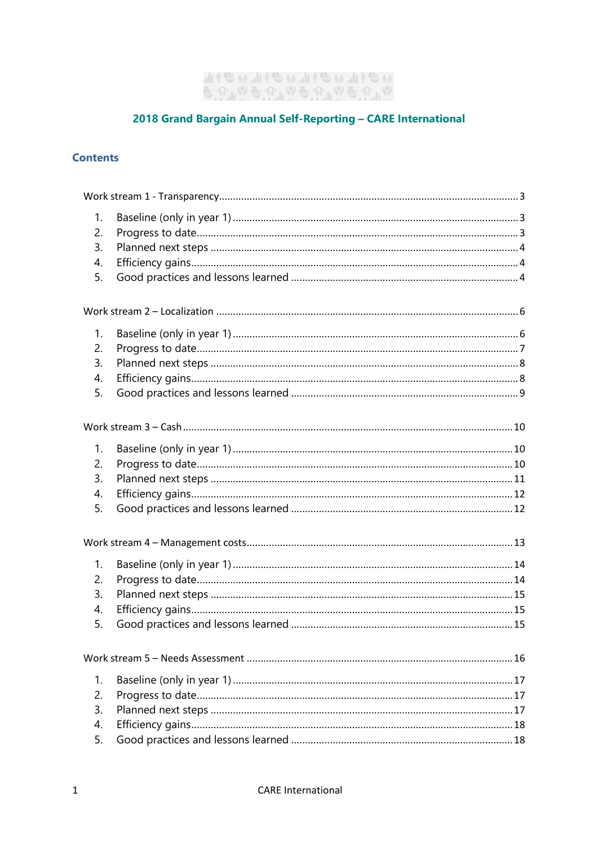# "<br>ଡ଼୲ଊୖଌ୰୲୲ଊୖଌ୰୲୲୷ଌ୲୲୲୷ଌ୳୲୲<br>୰୲୲ଊୖଌ୰୲୲ଊୖଌ୰୲୲ଊୖଌ୰

# 2018 Grand Bargain Annual Self-Reporting - CARE International

## **Contents**

| 1. |  |  |  |
|----|--|--|--|
| 2. |  |  |  |
| 3. |  |  |  |
| 4. |  |  |  |
| 5. |  |  |  |
|    |  |  |  |
|    |  |  |  |
| 1. |  |  |  |
| 2. |  |  |  |
| 3. |  |  |  |
| 4. |  |  |  |
| 5. |  |  |  |
|    |  |  |  |
| 1. |  |  |  |
| 2. |  |  |  |
| 3. |  |  |  |
| 4. |  |  |  |
| 5. |  |  |  |
|    |  |  |  |
| 1. |  |  |  |
| 2. |  |  |  |
| 3. |  |  |  |
| 4. |  |  |  |
| 5. |  |  |  |
|    |  |  |  |
|    |  |  |  |
| 1. |  |  |  |
| 2. |  |  |  |
| 3. |  |  |  |
| 4. |  |  |  |
| 5. |  |  |  |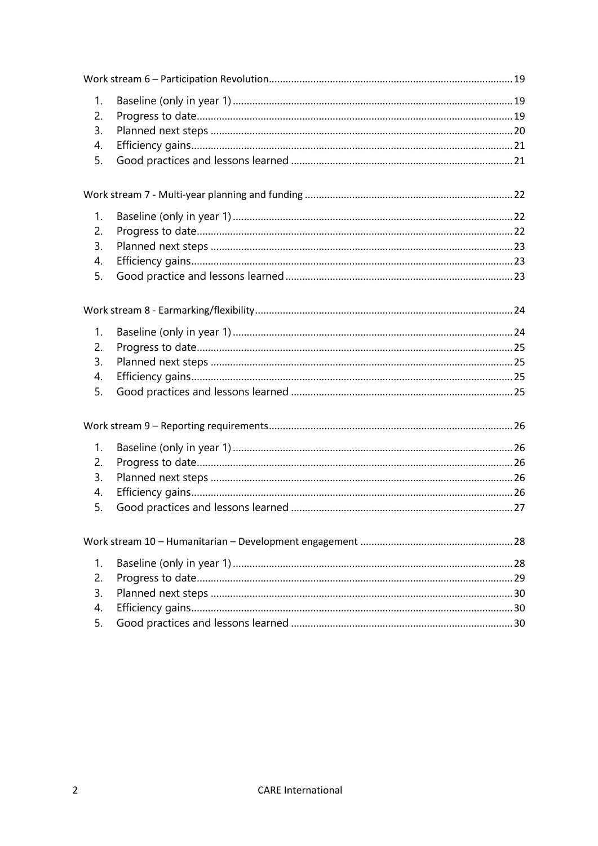| 1.             |  |  |  |
|----------------|--|--|--|
| 2.             |  |  |  |
| 3.             |  |  |  |
| 4.             |  |  |  |
| 5.             |  |  |  |
|                |  |  |  |
| 1.             |  |  |  |
| 2.             |  |  |  |
| 3.             |  |  |  |
| 4.             |  |  |  |
| 5.             |  |  |  |
|                |  |  |  |
| 1 <sub>1</sub> |  |  |  |
| 2.             |  |  |  |
| 3.             |  |  |  |
| 4.             |  |  |  |
| 5.             |  |  |  |
|                |  |  |  |
| 1.             |  |  |  |
| 2.             |  |  |  |
| 3.             |  |  |  |
| 4.             |  |  |  |
| 5.             |  |  |  |
|                |  |  |  |
| 1.             |  |  |  |
| 2.             |  |  |  |
| 3.             |  |  |  |
| 4.             |  |  |  |
| 5.             |  |  |  |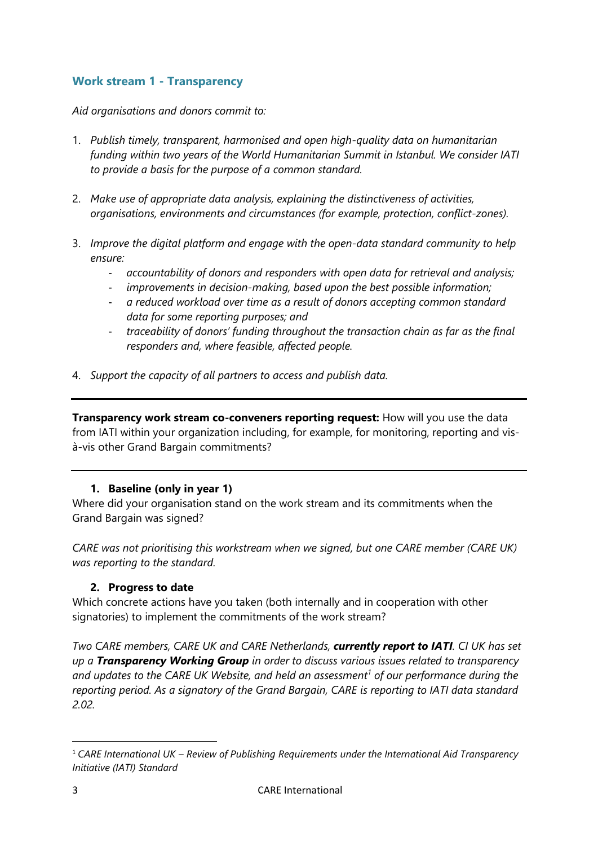# <span id="page-2-0"></span>**Work stream 1 - Transparency**

*Aid organisations and donors commit to:*

- 1. *Publish timely, transparent, harmonised and open high-quality data on humanitarian funding within two years of the World Humanitarian Summit in Istanbul. We consider IATI to provide a basis for the purpose of a common standard.*
- 2. *Make use of appropriate data analysis, explaining the distinctiveness of activities, organisations, environments and circumstances (for example, protection, conflict-zones).*
- 3. *Improve the digital platform and engage with the open-data standard community to help ensure:*
	- *accountability of donors and responders with open data for retrieval and analysis;*
	- improvements in decision-making, based upon the best possible information;
	- *a reduced workload over time as a result of donors accepting common standard data for some reporting purposes; and*
	- *traceability of donors' funding throughout the transaction chain as far as the final responders and, where feasible, affected people.*
- 4. *Support the capacity of all partners to access and publish data.*

**Transparency work stream co-conveners reporting request:** How will you use the data from IATI within your organization including, for example, for monitoring, reporting and visà-vis other Grand Bargain commitments?

## **1. Baseline (only in year 1)**

<span id="page-2-1"></span>Where did your organisation stand on the work stream and its commitments when the Grand Bargain was signed?

*CARE was not prioritising this workstream when we signed, but one CARE member (CARE UK) was reporting to the standard.*

# <span id="page-2-2"></span>**2. Progress to date**

Which concrete actions have you taken (both internally and in cooperation with other signatories) to implement the commitments of the work stream?

*Two CARE members, CARE UK and CARE Netherlands, currently report to IATI. CI UK has set up a Transparency Working Group in order to discuss various issues related to transparency and updates to the CARE UK Website, and held an assessment<sup>1</sup> of our performance during the reporting period. As a signatory of the Grand Bargain, CARE is reporting to IATI data standard 2.02.* 

**.** 

<sup>1</sup> *CARE International UK – Review of Publishing Requirements under the International Aid Transparency Initiative (IATI) Standard*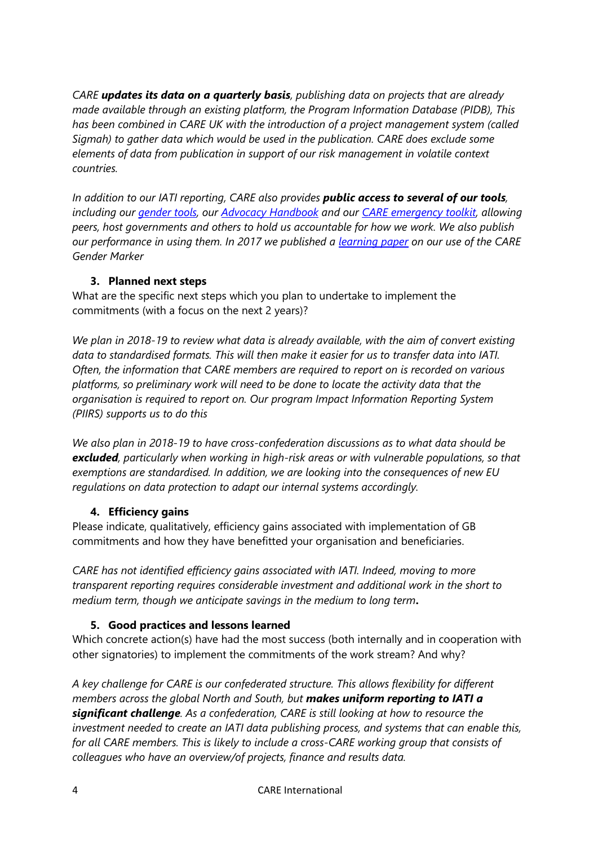*CARE updates its data on a quarterly basis, publishing data on projects that are already made available through an existing platform, the Program Information Database (PIDB), This has been combined in CARE UK with the introduction of a project management system (called Sigmah) to gather data which would be used in the publication. CARE does exclude some elements of data from publication in support of our risk management in volatile context countries.*

*In addition to our IATI reporting, CARE also provides public access to several of our tools, including our [gender tools,](http://gender.care2share.wikispaces.net/file/view/CARE+Gender+Marker+Learning+Paper+FINAL+271017.pdf/620419679/CARE%20Gender%20Marker%20Learning%20Paper%20FINAL%20271017.pdf) our [Advocacy Handbook](https://insights.careinternational.org.uk/publications/the-care-international-advocacy-handbook) and our [CARE emergency toolkit,](https://www.careemergencytoolkit.org/) allowing peers, host governments and others to hold us accountable for how we work. We also publish our performance in using them. In 2017 we published a [learning paper](http://gender.care2share.wikispaces.net/file/view/CARE+Gender+Marker+Learning+Paper+FINAL+271017.pdf/620419679/CARE%20Gender%20Marker%20Learning%20Paper%20FINAL%20271017.pdf) on our use of the CARE Gender Marker* 

## <span id="page-3-0"></span>**3. Planned next steps**

What are the specific next steps which you plan to undertake to implement the commitments (with a focus on the next 2 years)?

*We plan in 2018-19 to review what data is already available, with the aim of convert existing data to standardised formats. This will then make it easier for us to transfer data into IATI. Often, the information that CARE members are required to report on is recorded on various platforms, so preliminary work will need to be done to locate the activity data that the organisation is required to report on. Our program Impact Information Reporting System (PIIRS) supports us to do this* 

*We also plan in 2018-19 to have cross-confederation discussions as to what data should be excluded, particularly when working in high-risk areas or with vulnerable populations, so that exemptions are standardised. In addition, we are looking into the consequences of new EU regulations on data protection to adapt our internal systems accordingly.*

# <span id="page-3-1"></span>**4. Efficiency gains**

Please indicate, qualitatively, efficiency gains associated with implementation of GB commitments and how they have benefitted your organisation and beneficiaries.

*CARE has not identified efficiency gains associated with IATI. Indeed, moving to more transparent reporting requires considerable investment and additional work in the short to medium term, though we anticipate savings in the medium to long term***.**

# <span id="page-3-2"></span>**5. Good practices and lessons learned**

Which concrete action(s) have had the most success (both internally and in cooperation with other signatories) to implement the commitments of the work stream? And why?

*A key challenge for CARE is our confederated structure. This allows flexibility for different members across the global North and South, but makes uniform reporting to IATI a significant challenge. As a confederation, CARE is still looking at how to resource the investment needed to create an IATI data publishing process, and systems that can enable this, for all CARE members. This is likely to include a cross-CARE working group that consists of colleagues who have an overview/of projects, finance and results data.*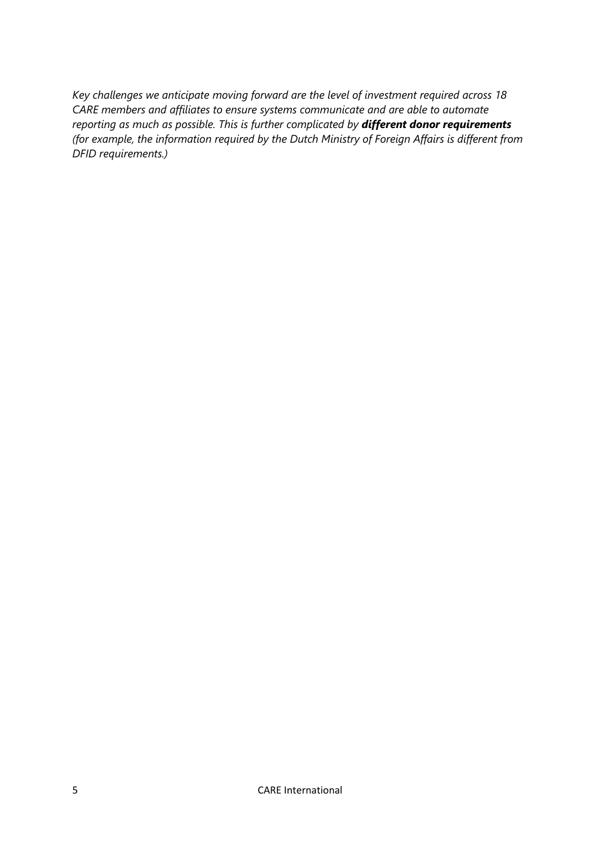*Key challenges we anticipate moving forward are the level of investment required across 18 CARE members and affiliates to ensure systems communicate and are able to automate reporting as much as possible. This is further complicated by different donor requirements (for example, the information required by the Dutch Ministry of Foreign Affairs is different from DFID requirements.)*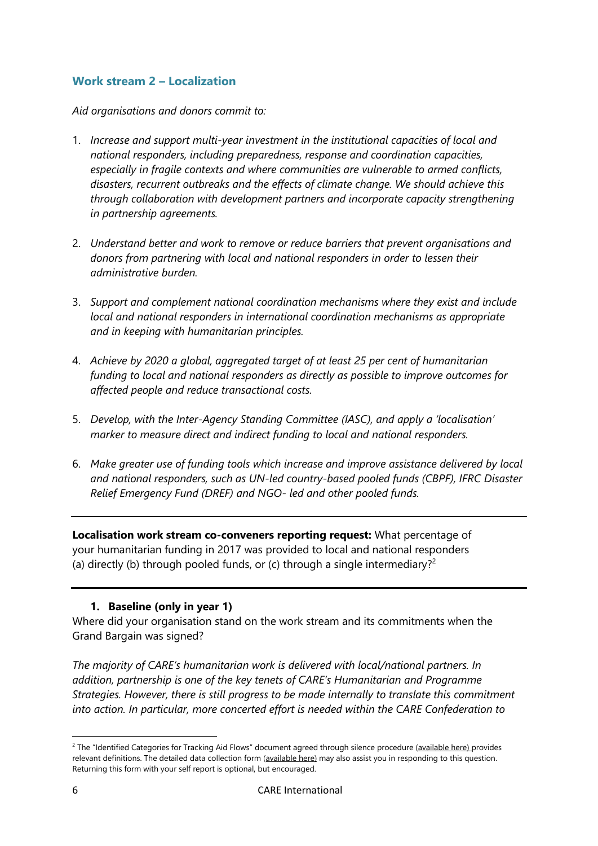# <span id="page-5-0"></span>**Work stream 2 – Localization**

*Aid organisations and donors commit to:*

- 1. *Increase and support multi-year investment in the institutional capacities of local and national responders, including preparedness, response and coordination capacities, especially in fragile contexts and where communities are vulnerable to armed conflicts, disasters, recurrent outbreaks and the effects of climate change. We should achieve this through collaboration with development partners and incorporate capacity strengthening in partnership agreements.*
- 2. *Understand better and work to remove or reduce barriers that prevent organisations and donors from partnering with local and national responders in order to lessen their administrative burden.*
- 3. *Support and complement national coordination mechanisms where they exist and include local and national responders in international coordination mechanisms as appropriate and in keeping with humanitarian principles.*
- 4. *Achieve by 2020 a global, aggregated target of at least 25 per cent of humanitarian funding to local and national responders as directly as possible to improve outcomes for affected people and reduce transactional costs.*
- 5. *Develop, with the Inter-Agency Standing Committee (IASC), and apply a 'localisation' marker to measure direct and indirect funding to local and national responders.*
- 6. *Make greater use of funding tools which increase and improve assistance delivered by local and national responders, such as UN-led country-based pooled funds (CBPF), IFRC Disaster Relief Emergency Fund (DREF) and NGO- led and other pooled funds.*

**Localisation work stream co-conveners reporting request:** What percentage of your humanitarian funding in 2017 was provided to local and national responders (a) directly (b) through pooled funds, or (c) through a single intermediary?<sup>2</sup>

# **1. Baseline (only in year 1)**

<span id="page-5-1"></span>Where did your organisation stand on the work stream and its commitments when the Grand Bargain was signed?

*The majority of CARE's humanitarian work is delivered with local/national partners. In addition, partnership is one of the key tenets of CARE's Humanitarian and Programme Strategies. However, there is still progress to be made internally to translate this commitment into action. In particular, more concerted effort is needed within the CARE Confederation to* 

1

<sup>&</sup>lt;sup>2</sup> The "Identified Categories for Tracking Aid Flows" document agreed through silence procedure [\(available here\)](https://interagencystandingcommittee.org/grand-bargain-hosted-iasc/documents/categories-tracking-funding-flows) provides relevant definitions. The detailed data collection form [\(available here\)](https://interagencystandingcommittee.org/grand-bargain-hosted-iasc/documents/localization-data-collection-form) may also assist you in responding to this question. Returning this form with your self report is optional, but encouraged.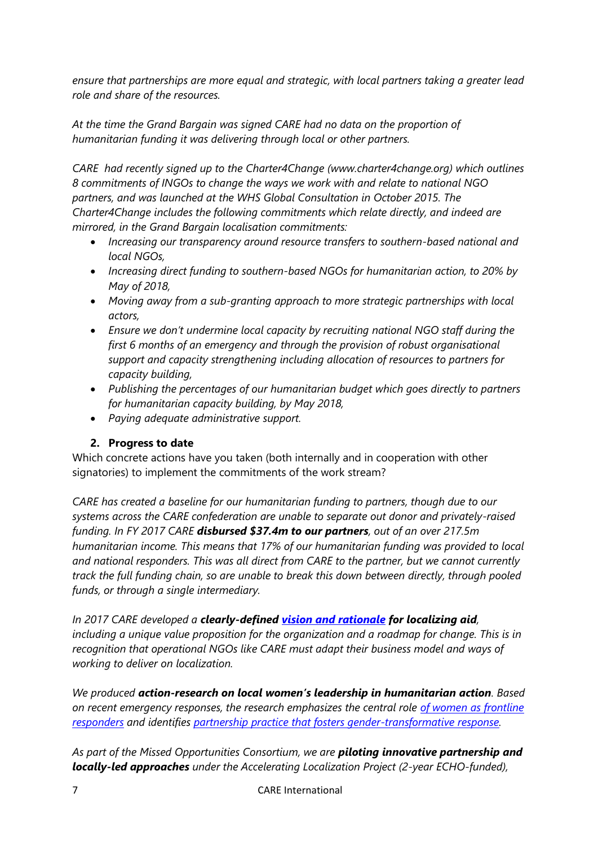*ensure that partnerships are more equal and strategic, with local partners taking a greater lead role and share of the resources.* 

*At the time the Grand Bargain was signed CARE had no data on the proportion of humanitarian funding it was delivering through local or other partners.* 

*CARE had recently signed up to the Charter4Change (www.charter4change.org) which outlines 8 commitments of INGOs to change the ways we work with and relate to national NGO partners, and was launched at the WHS Global Consultation in October 2015. The Charter4Change includes the following commitments which relate directly, and indeed are mirrored, in the Grand Bargain localisation commitments:* 

- *Increasing our transparency around resource transfers to southern-based national and local NGOs,*
- *Increasing direct funding to southern-based NGOs for humanitarian action, to 20% by May of 2018,*
- *Moving away from a sub-granting approach to more strategic partnerships with local actors,*
- *Ensure we don't undermine local capacity by recruiting national NGO staff during the first 6 months of an emergency and through the provision of robust organisational support and capacity strengthening including allocation of resources to partners for capacity building,*
- *Publishing the percentages of our humanitarian budget which goes directly to partners for humanitarian capacity building, by May 2018,*
- *Paying adequate administrative support.*

# <span id="page-6-0"></span>**2. Progress to date**

Which concrete actions have you taken (both internally and in cooperation with other signatories) to implement the commitments of the work stream?

*CARE has created a baseline for our humanitarian funding to partners, though due to our systems across the CARE confederation are unable to separate out donor and privately-raised funding. In FY 2017 CARE disbursed \$37.4m to our partners, out of an over 217.5m humanitarian income. This means that 17% of our humanitarian funding was provided to local and national responders. This was all direct from CARE to the partner, but we cannot currently track the full funding chain, so are unable to break this down between directly, through pooled funds, or through a single intermediary.*

*In 2017 CARE developed a clearly-defined [vision and rationale](http://partnership.care2share.wikispaces.net/file/detail/Public+-+CARE%27s+Localization+Framework.docx) for localizing aid, including a unique value proposition for the organization and a roadmap for change. This is in recognition that operational NGOs like CARE must adapt their business model and ways of working to deliver on localization.* 

*We produced action-research on local women's leadership in humanitarian action. Based on recent emergency responses, the research emphasizes the central role [of women as frontline](https://insights.careinternational.org.uk/publications/she-is-a-humanitarian)  [responders](https://insights.careinternational.org.uk/publications/she-is-a-humanitarian) and identifies [partnership practice that fosters gender-transformative response.](https://www.care-international.org/files/files/publications/Gender_and_Localizing_Aid_high_res.pdf)* 

*As part of the Missed Opportunities Consortium, we are piloting innovative partnership and locally-led approaches under the Accelerating Localization Project (2-year ECHO-funded),*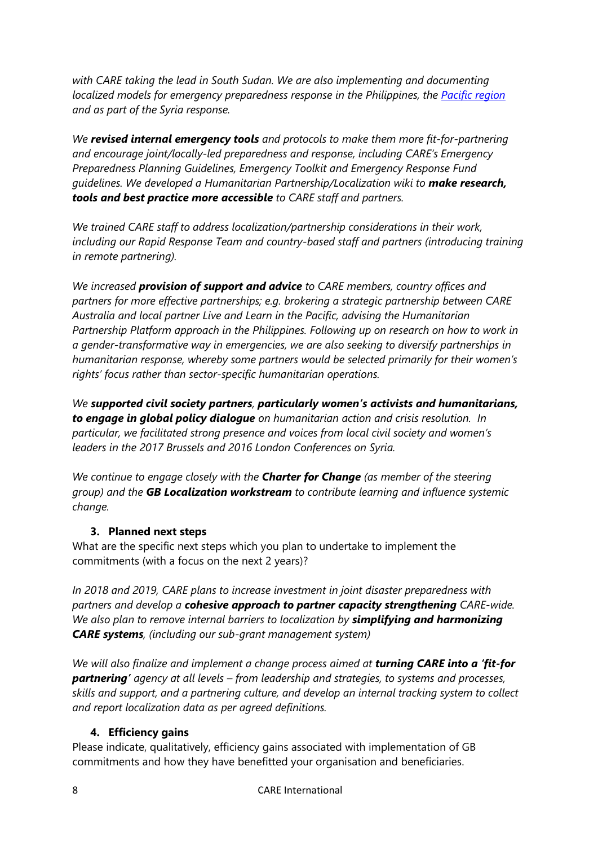*with CARE taking the lead in South Sudan. We are also implementing and documenting localized models for emergency preparedness response in the Philippines, the [Pacific region](https://www.care.org.au/wp-content/uploads/2016/10/Localisation-Case-Study-October-2016-13.10.pdf) and as part of the Syria response.* 

*We revised internal emergency tools and protocols to make them more fit-for-partnering and encourage joint/locally-led preparedness and response, including CARE's Emergency Preparedness Planning Guidelines, Emergency Toolkit and Emergency Response Fund guidelines. We developed a Humanitarian Partnership/Localization wiki to make research, tools and best practice more accessible to CARE staff and partners.* 

*We trained CARE staff to address localization/partnership considerations in their work, including our Rapid Response Team and country-based staff and partners (introducing training in remote partnering).* 

*We increased provision of support and advice to CARE members, country offices and partners for more effective partnerships; e.g. brokering a strategic partnership between CARE Australia and local partner Live and Learn in the Pacific, advising the Humanitarian Partnership Platform approach in the Philippines. Following up on research on how to work in a gender-transformative way in emergencies, we are also seeking to diversify partnerships in humanitarian response, whereby some partners would be selected primarily for their women's rights' focus rather than sector-specific humanitarian operations.*

*We supported civil society partners, particularly women's activists and humanitarians, to engage in global policy dialogue on humanitarian action and crisis resolution. In particular, we facilitated strong presence and voices from local civil society and women's leaders in the 2017 Brussels and 2016 London Conferences on Syria.* 

*We continue to engage closely with the Charter for Change (as member of the steering group) and the GB Localization workstream to contribute learning and influence systemic change.*

## <span id="page-7-0"></span>**3. Planned next steps**

What are the specific next steps which you plan to undertake to implement the commitments (with a focus on the next 2 years)?

*In 2018 and 2019, CARE plans to increase investment in joint disaster preparedness with partners and develop a cohesive approach to partner capacity strengthening CARE-wide. We also plan to remove internal barriers to localization by simplifying and harmonizing CARE systems, (including our sub-grant management system)*

*We will also finalize and implement a change process aimed at turning CARE into a 'fit-for partnering' agency at all levels – from leadership and strategies, to systems and processes, skills and support, and a partnering culture, and develop an internal tracking system to collect and report localization data as per agreed definitions.* 

## <span id="page-7-1"></span>**4. Efficiency gains**

Please indicate, qualitatively, efficiency gains associated with implementation of GB commitments and how they have benefitted your organisation and beneficiaries.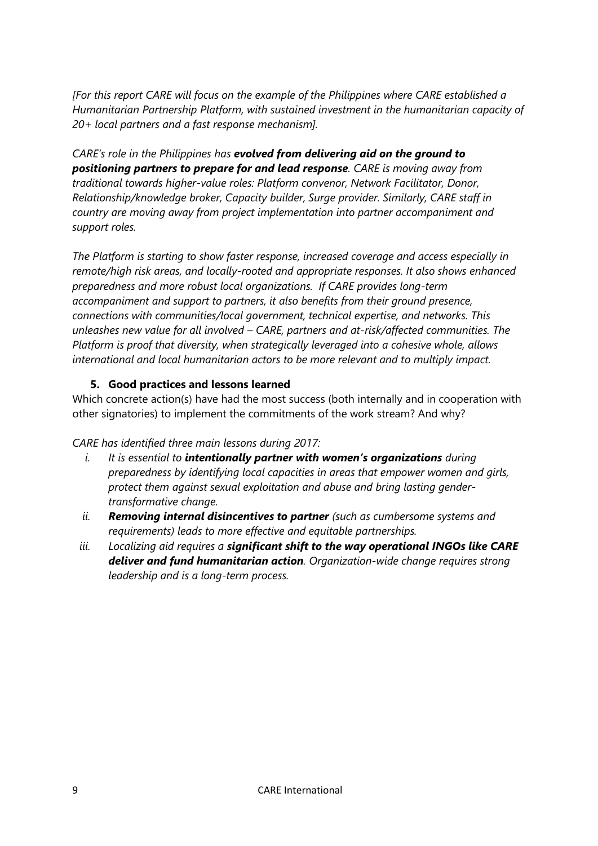*[For this report CARE will focus on the example of the Philippines where CARE established a Humanitarian Partnership Platform, with sustained investment in the humanitarian capacity of 20+ local partners and a fast response mechanism].* 

*CARE's role in the Philippines has evolved from delivering aid on the ground to positioning partners to prepare for and lead response. CARE is moving away from traditional towards higher-value roles: Platform convenor, Network Facilitator, Donor, Relationship/knowledge broker, Capacity builder, Surge provider. Similarly, CARE staff in country are moving away from project implementation into partner accompaniment and support roles.* 

*The Platform is starting to show faster response, increased coverage and access especially in remote/high risk areas, and locally-rooted and appropriate responses. It also shows enhanced preparedness and more robust local organizations. If CARE provides long-term accompaniment and support to partners, it also benefits from their ground presence, connections with communities/local government, technical expertise, and networks. This unleashes new value for all involved – CARE, partners and at-risk/affected communities. The Platform is proof that diversity, when strategically leveraged into a cohesive whole, allows international and local humanitarian actors to be more relevant and to multiply impact.*

## <span id="page-8-0"></span>**5. Good practices and lessons learned**

Which concrete action(s) have had the most success (both internally and in cooperation with other signatories) to implement the commitments of the work stream? And why?

## *CARE has identified three main lessons during 2017:*

- *i. It is essential to intentionally partner with women's organizations during preparedness by identifying local capacities in areas that empower women and girls, protect them against sexual exploitation and abuse and bring lasting gendertransformative change.*
- *ii. Removing internal disincentives to partner (such as cumbersome systems and requirements) leads to more effective and equitable partnerships.*
- *iii. Localizing aid requires a significant shift to the way operational INGOs like CARE deliver and fund humanitarian action. Organization-wide change requires strong leadership and is a long-term process.*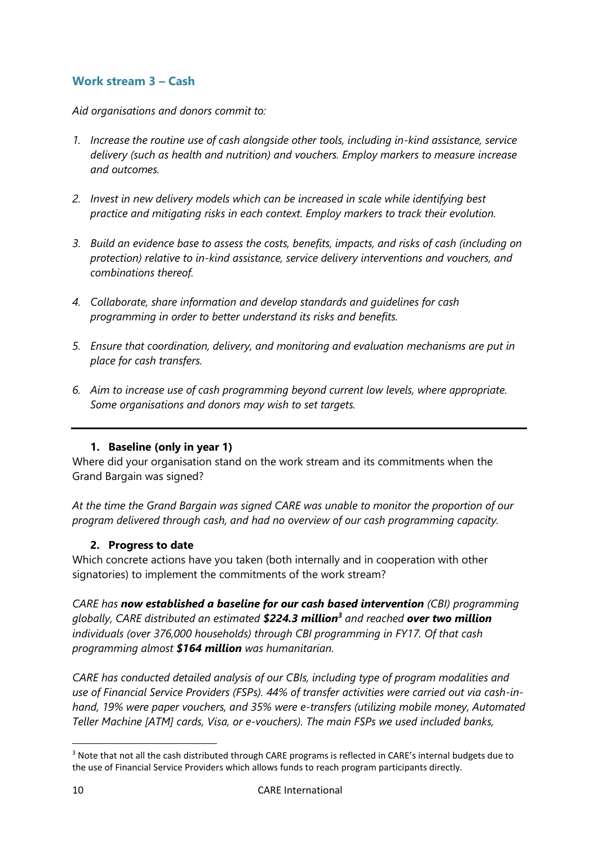# <span id="page-9-0"></span>**Work stream 3 – Cash**

*Aid organisations and donors commit to:*

- *1. Increase the routine use of cash alongside other tools, including in-kind assistance, service delivery (such as health and nutrition) and vouchers. Employ markers to measure increase and outcomes.*
- *2. Invest in new delivery models which can be increased in scale while identifying best practice and mitigating risks in each context. Employ markers to track their evolution.*
- *3. Build an evidence base to assess the costs, benefits, impacts, and risks of cash (including on protection) relative to in-kind assistance, service delivery interventions and vouchers, and combinations thereof.*
- *4. Collaborate, share information and develop standards and guidelines for cash programming in order to better understand its risks and benefits.*
- *5. Ensure that coordination, delivery, and monitoring and evaluation mechanisms are put in place for cash transfers.*
- *6. Aim to increase use of cash programming beyond current low levels, where appropriate. Some organisations and donors may wish to set targets.*

# **1. Baseline (only in year 1)**

<span id="page-9-1"></span>Where did your organisation stand on the work stream and its commitments when the Grand Bargain was signed?

*At the time the Grand Bargain was signed CARE was unable to monitor the proportion of our program delivered through cash, and had no overview of our cash programming capacity.*

## <span id="page-9-2"></span>**2. Progress to date**

Which concrete actions have you taken (both internally and in cooperation with other signatories) to implement the commitments of the work stream?

*CARE has now established a baseline for our cash based intervention (CBI) programming globally, CARE distributed an estimated \$224.3 million<sup>3</sup> and reached over two million individuals (over 376,000 households) through CBI programming in FY17. Of that cash programming almost \$164 million was humanitarian.*

*CARE has conducted detailed analysis of our CBIs, including type of program modalities and use of Financial Service Providers (FSPs). 44% of transfer activities were carried out via cash-inhand, 19% were paper vouchers, and 35% were e-transfers (utilizing mobile money, Automated Teller Machine [ATM] cards, Visa, or e-vouchers). The main FSPs we used included banks,* 

**.** 

<sup>&</sup>lt;sup>3</sup> Note that not all the cash distributed through CARE programs is reflected in CARE's internal budgets due to the use of Financial Service Providers which allows funds to reach program participants directly.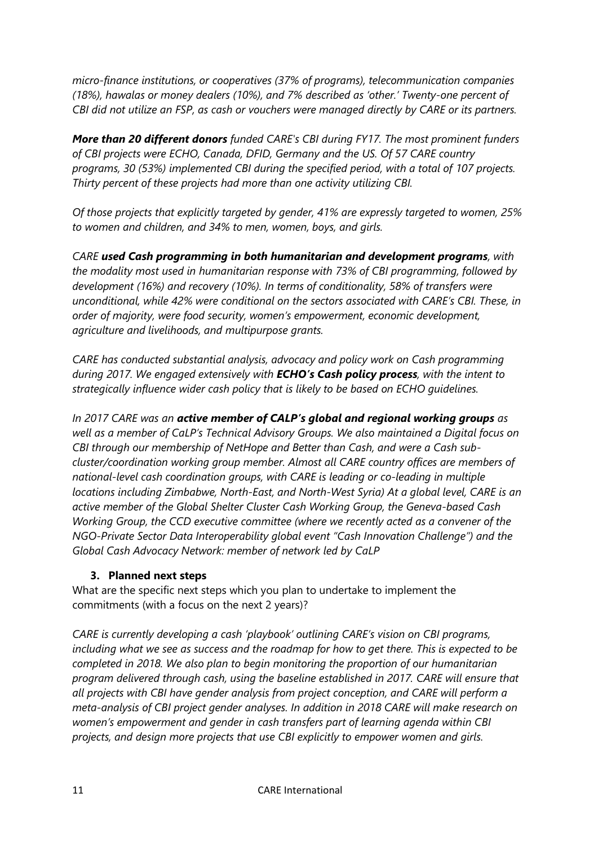*micro-finance institutions, or cooperatives (37% of programs), telecommunication companies (18%), hawalas or money dealers (10%), and 7% described as 'other.' Twenty-one percent of CBI did not utilize an FSP, as cash or vouchers were managed directly by CARE or its partners.*

*More than 20 different donors funded CARE's CBI during FY17. The most prominent funders of CBI projects were ECHO, Canada, DFID, Germany and the US. Of 57 CARE country programs, 30 (53%) implemented CBI during the specified period, with a total of 107 projects. Thirty percent of these projects had more than one activity utilizing CBI.*

*Of those projects that explicitly targeted by gender, 41% are expressly targeted to women, 25% to women and children, and 34% to men, women, boys, and girls.*

*CARE used Cash programming in both humanitarian and development programs, with the modality most used in humanitarian response with 73% of CBI programming, followed by development (16%) and recovery (10%). In terms of conditionality, 58% of transfers were unconditional, while 42% were conditional on the sectors associated with CARE's CBI. These, in order of majority, were food security, women's empowerment, economic development, agriculture and livelihoods, and multipurpose grants.*

*CARE has conducted substantial analysis, advocacy and policy work on Cash programming during 2017. We engaged extensively with ECHO's Cash policy process, with the intent to strategically influence wider cash policy that is likely to be based on ECHO guidelines.*

*In 2017 CARE was an active member of CALP's global and regional working groups as well as a member of CaLP's Technical Advisory Groups. We also maintained a Digital focus on CBI through our membership of NetHope and Better than Cash, and were a Cash subcluster/coordination working group member. Almost all CARE country offices are members of national-level cash coordination groups, with CARE is leading or co-leading in multiple locations including Zimbabwe, North-East, and North-West Syria) At a global level, CARE is an active member of the Global Shelter Cluster Cash Working Group, the Geneva-based Cash Working Group, the CCD executive committee (where we recently acted as a convener of the NGO-Private Sector Data Interoperability global event "Cash Innovation Challenge") and the Global Cash Advocacy Network: member of network led by CaLP*

# <span id="page-10-0"></span>**3. Planned next steps**

What are the specific next steps which you plan to undertake to implement the commitments (with a focus on the next 2 years)?

*CARE is currently developing a cash 'playbook' outlining CARE's vision on CBI programs, including what we see as success and the roadmap for how to get there. This is expected to be completed in 2018. We also plan to begin monitoring the proportion of our humanitarian program delivered through cash, using the baseline established in 2017. CARE will ensure that all projects with CBI have gender analysis from project conception, and CARE will perform a meta-analysis of CBI project gender analyses. In addition in 2018 CARE will make research on women's empowerment and gender in cash transfers part of learning agenda within CBI projects, and design more projects that use CBI explicitly to empower women and girls.*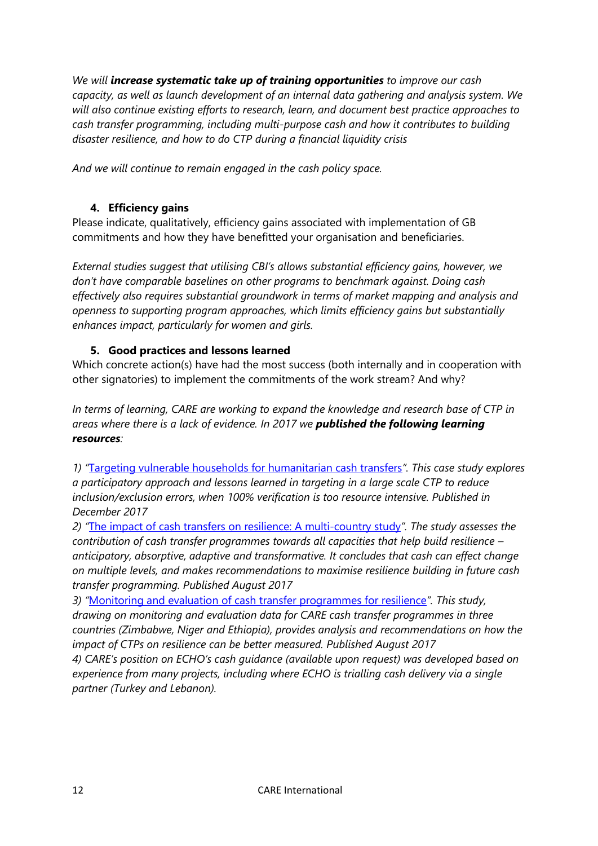*We will increase systematic take up of training opportunities to improve our cash capacity, as well as launch development of an internal data gathering and analysis system. We will also continue existing efforts to research, learn, and document best practice approaches to cash transfer programming, including multi-purpose cash and how it contributes to building disaster resilience, and how to do CTP during a financial liquidity crisis*

*And we will continue to remain engaged in the cash policy space.* 

# <span id="page-11-0"></span>**4. Efficiency gains**

Please indicate, qualitatively, efficiency gains associated with implementation of GB commitments and how they have benefitted your organisation and beneficiaries.

*External studies suggest that utilising CBI's allows substantial efficiency gains, however, we don't have comparable baselines on other programs to benchmark against. Doing cash effectively also requires substantial groundwork in terms of market mapping and analysis and openness to supporting program approaches, which limits efficiency gains but substantially enhances impact, particularly for women and girls.* 

# <span id="page-11-1"></span>**5. Good practices and lessons learned**

Which concrete action(s) have had the most success (both internally and in cooperation with other signatories) to implement the commitments of the work stream? And why?

*In terms of learning, CARE are working to expand the knowledge and research base of CTP in areas where there is a lack of evidence. In 2017 we published the following learning resources:*

*1) "*[Targeting vulnerable households for humanitarian cash transfers](https://reliefweb.int/report/zimbabwe/targeting-vulnerable-households-humanitarian-cash-transfers)*". This case study explores a participatory approach and lessons learned in targeting in a large scale CTP to reduce inclusion/exclusion errors, when 100% verification is too resource intensive. Published in December 2017*

*2) "*[The impact of cash transfers on resilience: A multi-country study](https://insights.careinternational.org.uk/publications/the-impact-of-cash-transfers-on-resilience-a-multi-country-study)*". The study assesses the contribution of cash transfer programmes towards all capacities that help build resilience – anticipatory, absorptive, adaptive and transformative. It concludes that cash can effect change on multiple levels, and makes recommendations to maximise resilience building in future cash transfer programming. Published August 2017*

*3) "*[Monitoring and evaluation of cash transfer programmes for resilience](https://reliefweb.int/report/zimbabwe/monitoring-and-evaluation-cash-transfer-programmes-resilience)*". This study, drawing on monitoring and evaluation data for CARE cash transfer programmes in three countries (Zimbabwe, Niger and Ethiopia), provides analysis and recommendations on how the impact of CTPs on resilience can be better measured. Published August 2017*

*4) CARE's position on ECHO's cash guidance (available upon request) was developed based on experience from many projects, including where ECHO is trialling cash delivery via a single partner (Turkey and Lebanon).*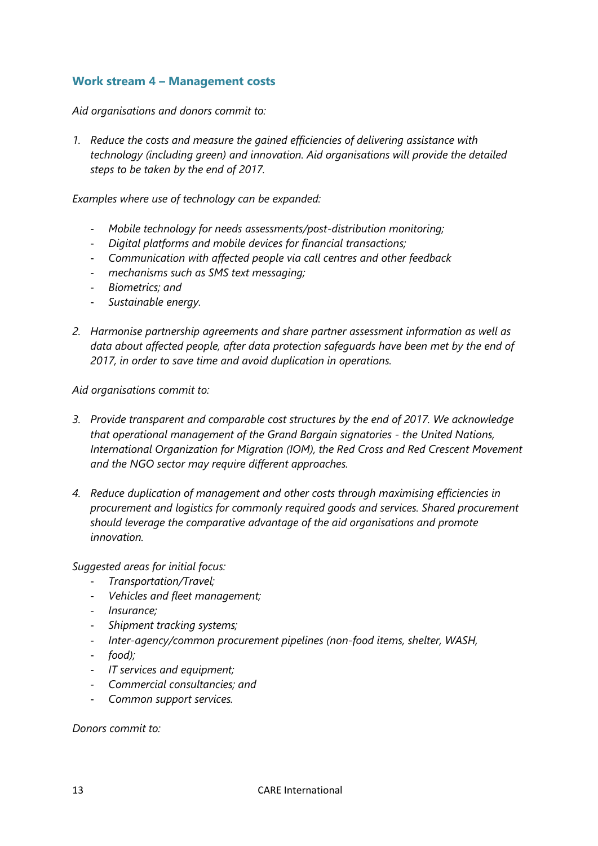## <span id="page-12-0"></span>**Work stream 4 – Management costs**

*Aid organisations and donors commit to:*

*1. Reduce the costs and measure the gained efficiencies of delivering assistance with technology (including green) and innovation. Aid organisations will provide the detailed steps to be taken by the end of 2017.*

*Examples where use of technology can be expanded:*

- *Mobile technology for needs assessments/post-distribution monitoring;*
- *Digital platforms and mobile devices for financial transactions;*
- *Communication with affected people via call centres and other feedback*
- *mechanisms such as SMS text messaging;*
- *Biometrics; and*
- *Sustainable energy.*
- *2. Harmonise partnership agreements and share partner assessment information as well as data about affected people, after data protection safeguards have been met by the end of 2017, in order to save time and avoid duplication in operations.*

*Aid organisations commit to:*

- *3. Provide transparent and comparable cost structures by the end of 2017. We acknowledge that operational management of the Grand Bargain signatories - the United Nations, International Organization for Migration (IOM), the Red Cross and Red Crescent Movement and the NGO sector may require different approaches.*
- *4. Reduce duplication of management and other costs through maximising efficiencies in procurement and logistics for commonly required goods and services. Shared procurement should leverage the comparative advantage of the aid organisations and promote innovation.*

*Suggested areas for initial focus:*

- *Transportation/Travel;*
- *Vehicles and fleet management;*
- *Insurance;*
- *Shipment tracking systems;*
- *Inter-agency/common procurement pipelines (non-food items, shelter, WASH,*
- *food);*
- *IT services and equipment;*
- *Commercial consultancies; and*
- *Common support services.*

*Donors commit to:*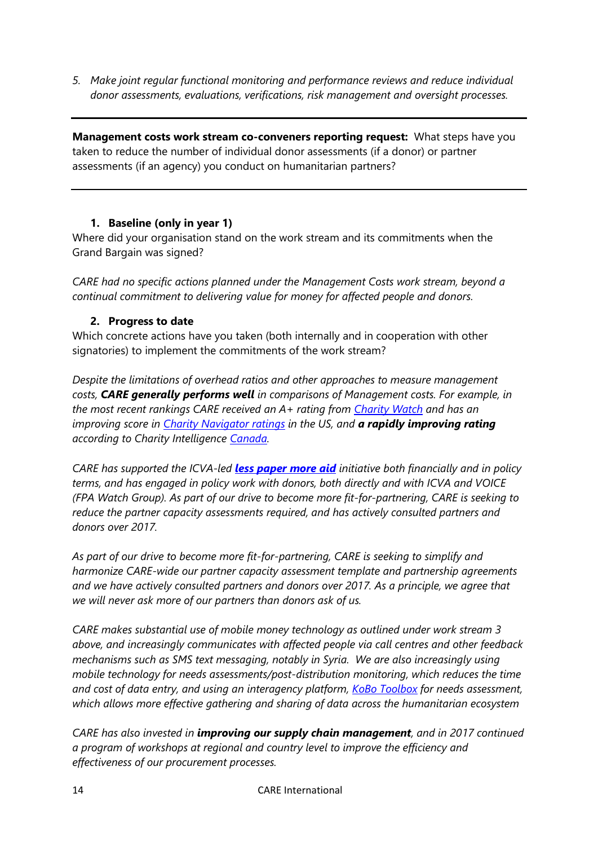*5. Make joint regular functional monitoring and performance reviews and reduce individual donor assessments, evaluations, verifications, risk management and oversight processes.*

**Management costs work stream co-conveners reporting request:** What steps have you taken to reduce the number of individual donor assessments (if a donor) or partner assessments (if an agency) you conduct on humanitarian partners?

## <span id="page-13-0"></span>**1. Baseline (only in year 1)**

Where did your organisation stand on the work stream and its commitments when the Grand Bargain was signed?

*CARE had no specific actions planned under the Management Costs work stream, beyond a continual commitment to delivering value for money for affected people and donors.*

## <span id="page-13-1"></span>**2. Progress to date**

Which concrete actions have you taken (both internally and in cooperation with other signatories) to implement the commitments of the work stream?

*Despite the limitations of overhead ratios and other approaches to measure management costs, CARE generally performs well in comparisons of Management costs. For example, in the most recent rankings CARE received an A+ rating from [Charity Watch](https://www.charitywatch.org/ratings-and-metrics/care-usa/396) and has an improving score in [Charity Navigator ratings](https://www.charitynavigator.org/index.cfm?bay=search.summary&orgid=3568) in the US, and a rapidly improving rating according to Charity Intelligence [Canada.](https://www.charityintelligence.ca/charity-details/183-care-canada)* 

*CARE has supported the ICVA-led [less paper more aid](http://lesspapermoreaid.org/) initiative both financially and in policy terms, and has engaged in policy work with donors, both directly and with ICVA and VOICE (FPA Watch Group). As part of our drive to become more fit-for-partnering, CARE is seeking to reduce the partner capacity assessments required, and has actively consulted partners and donors over 2017.* 

*As part of our drive to become more fit-for-partnering, CARE is seeking to simplify and harmonize CARE-wide our partner capacity assessment template and partnership agreements and we have actively consulted partners and donors over 2017. As a principle, we agree that we will never ask more of our partners than donors ask of us.*

*CARE makes substantial use of mobile money technology as outlined under work stream 3 above, and increasingly communicates with affected people via call centres and other feedback mechanisms such as SMS text messaging, notably in Syria. We are also increasingly using mobile technology for needs assessments/post-distribution monitoring, which reduces the time and cost of data entry, and using an interagency platform, [KoBo Toolbox](http://www.kobotoolbox.org/) for needs assessment, which allows more effective gathering and sharing of data across the humanitarian ecosystem*

*CARE has also invested in improving our supply chain management, and in 2017 continued a program of workshops at regional and country level to improve the efficiency and effectiveness of our procurement processes.*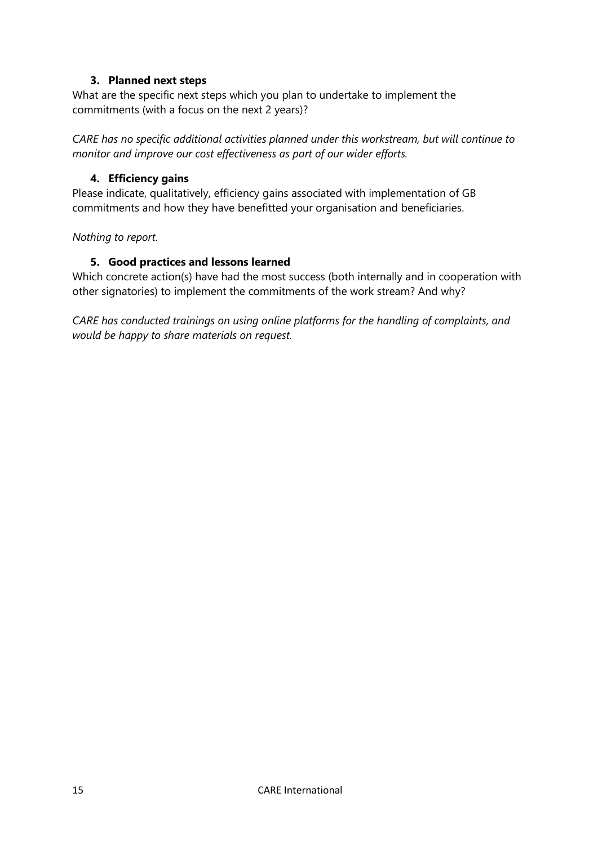## **3. Planned next steps**

<span id="page-14-0"></span>What are the specific next steps which you plan to undertake to implement the commitments (with a focus on the next 2 years)?

*CARE has no specific additional activities planned under this workstream, but will continue to monitor and improve our cost effectiveness as part of our wider efforts.* 

## <span id="page-14-1"></span>**4. Efficiency gains**

Please indicate, qualitatively, efficiency gains associated with implementation of GB commitments and how they have benefitted your organisation and beneficiaries.

#### <span id="page-14-2"></span>*Nothing to report.*

## **5. Good practices and lessons learned**

Which concrete action(s) have had the most success (both internally and in cooperation with other signatories) to implement the commitments of the work stream? And why?

*CARE has conducted trainings on using online platforms for the handling of complaints, and would be happy to share materials on request.*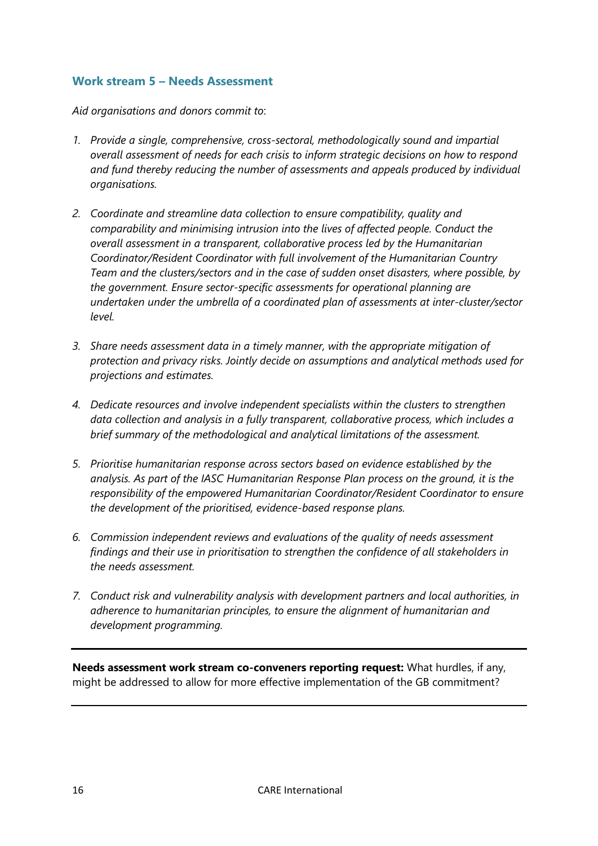## <span id="page-15-0"></span>**Work stream 5 – Needs Assessment**

*Aid organisations and donors commit to*:

- *1. Provide a single, comprehensive, cross-sectoral, methodologically sound and impartial overall assessment of needs for each crisis to inform strategic decisions on how to respond and fund thereby reducing the number of assessments and appeals produced by individual organisations.*
- *2. Coordinate and streamline data collection to ensure compatibility, quality and comparability and minimising intrusion into the lives of affected people. Conduct the overall assessment in a transparent, collaborative process led by the Humanitarian Coordinator/Resident Coordinator with full involvement of the Humanitarian Country Team and the clusters/sectors and in the case of sudden onset disasters, where possible, by the government. Ensure sector-specific assessments for operational planning are undertaken under the umbrella of a coordinated plan of assessments at inter-cluster/sector level.*
- *3. Share needs assessment data in a timely manner, with the appropriate mitigation of protection and privacy risks. Jointly decide on assumptions and analytical methods used for projections and estimates.*
- *4. Dedicate resources and involve independent specialists within the clusters to strengthen data collection and analysis in a fully transparent, collaborative process, which includes a brief summary of the methodological and analytical limitations of the assessment.*
- *5. Prioritise humanitarian response across sectors based on evidence established by the analysis. As part of the IASC Humanitarian Response Plan process on the ground, it is the responsibility of the empowered Humanitarian Coordinator/Resident Coordinator to ensure the development of the prioritised, evidence-based response plans.*
- *6. Commission independent reviews and evaluations of the quality of needs assessment findings and their use in prioritisation to strengthen the confidence of all stakeholders in the needs assessment.*
- *7. Conduct risk and vulnerability analysis with development partners and local authorities, in adherence to humanitarian principles, to ensure the alignment of humanitarian and development programming.*

**Needs assessment work stream co-conveners reporting request:** What hurdles, if any, might be addressed to allow for more effective implementation of the GB commitment?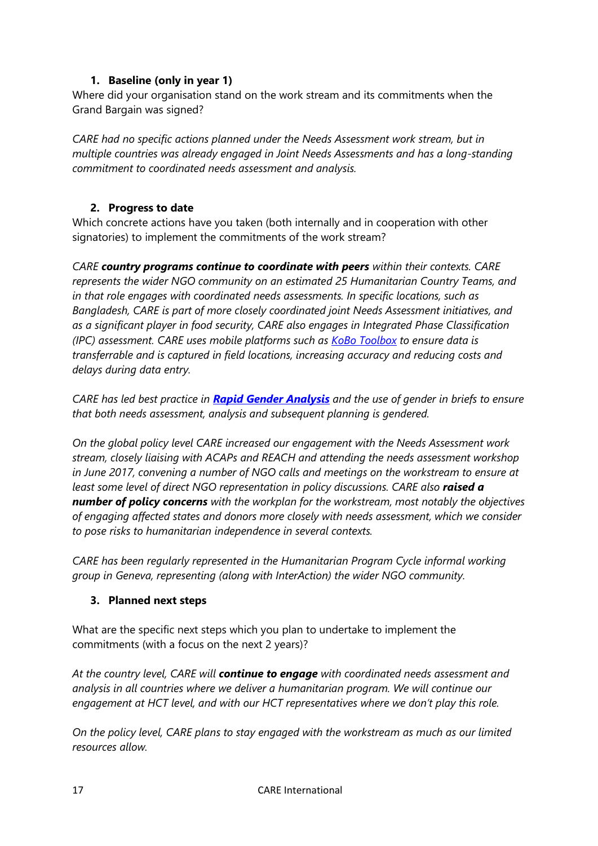## **1. Baseline (only in year 1)**

<span id="page-16-0"></span>Where did your organisation stand on the work stream and its commitments when the Grand Bargain was signed?

*CARE had no specific actions planned under the Needs Assessment work stream, but in multiple countries was already engaged in Joint Needs Assessments and has a long-standing commitment to coordinated needs assessment and analysis.* 

## <span id="page-16-1"></span>**2. Progress to date**

Which concrete actions have you taken (both internally and in cooperation with other signatories) to implement the commitments of the work stream?

*CARE country programs continue to coordinate with peers within their contexts. CARE represents the wider NGO community on an estimated 25 Humanitarian Country Teams, and in that role engages with coordinated needs assessments. In specific locations, such as Bangladesh, CARE is part of more closely coordinated joint Needs Assessment initiatives, and as a significant player in food security, CARE also engages in Integrated Phase Classification (IPC) assessment. CARE uses mobile platforms such as [KoBo Toolbox](http://www.kobotoolbox.org/) to ensure data is transferrable and is captured in field locations, increasing accuracy and reducing costs and delays during data entry.* 

*CARE has led best practice in [Rapid Gender Analysis](http://gender.care2share.wikispaces.net/CARE+Rapid+Gender+Analysis+Toolkit) and the use of gender in briefs to ensure that both needs assessment, analysis and subsequent planning is gendered.* 

*On the global policy level CARE increased our engagement with the Needs Assessment work stream, closely liaising with ACAPs and REACH and attending the needs assessment workshop in June 2017, convening a number of NGO calls and meetings on the workstream to ensure at least some level of direct NGO representation in policy discussions. CARE also raised a number of policy concerns with the workplan for the workstream, most notably the objectives of engaging affected states and donors more closely with needs assessment, which we consider to pose risks to humanitarian independence in several contexts.*

*CARE has been regularly represented in the Humanitarian Program Cycle informal working group in Geneva, representing (along with InterAction) the wider NGO community.*

## <span id="page-16-2"></span>**3. Planned next steps**

What are the specific next steps which you plan to undertake to implement the commitments (with a focus on the next 2 years)?

*At the country level, CARE will continue to engage with coordinated needs assessment and analysis in all countries where we deliver a humanitarian program. We will continue our engagement at HCT level, and with our HCT representatives where we don't play this role.* 

*On the policy level, CARE plans to stay engaged with the workstream as much as our limited resources allow.*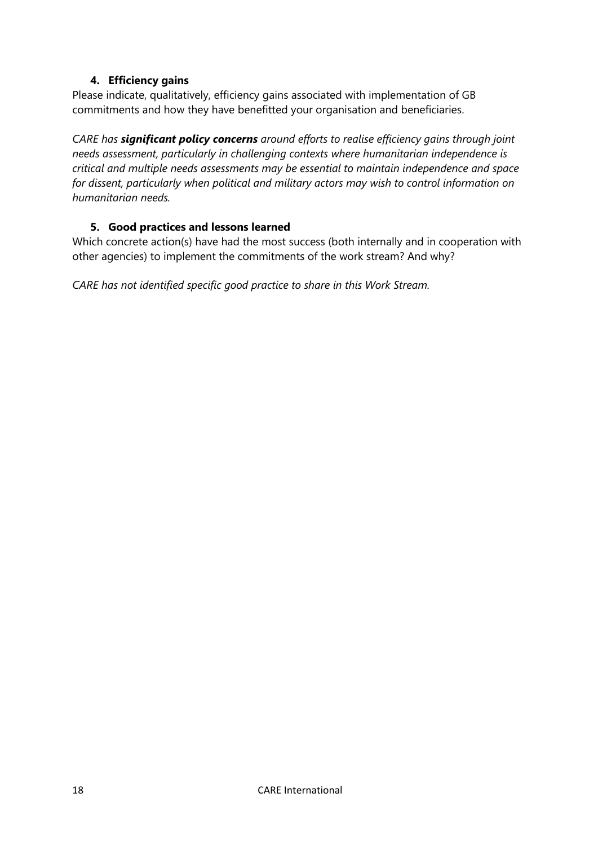## **4. Efficiency gains**

<span id="page-17-0"></span>Please indicate, qualitatively, efficiency gains associated with implementation of GB commitments and how they have benefitted your organisation and beneficiaries.

*CARE has significant policy concerns around efforts to realise efficiency gains through joint needs assessment, particularly in challenging contexts where humanitarian independence is critical and multiple needs assessments may be essential to maintain independence and space for dissent, particularly when political and military actors may wish to control information on humanitarian needs.* 

## **5. Good practices and lessons learned**

<span id="page-17-1"></span>Which concrete action(s) have had the most success (both internally and in cooperation with other agencies) to implement the commitments of the work stream? And why?

*CARE has not identified specific good practice to share in this Work Stream.*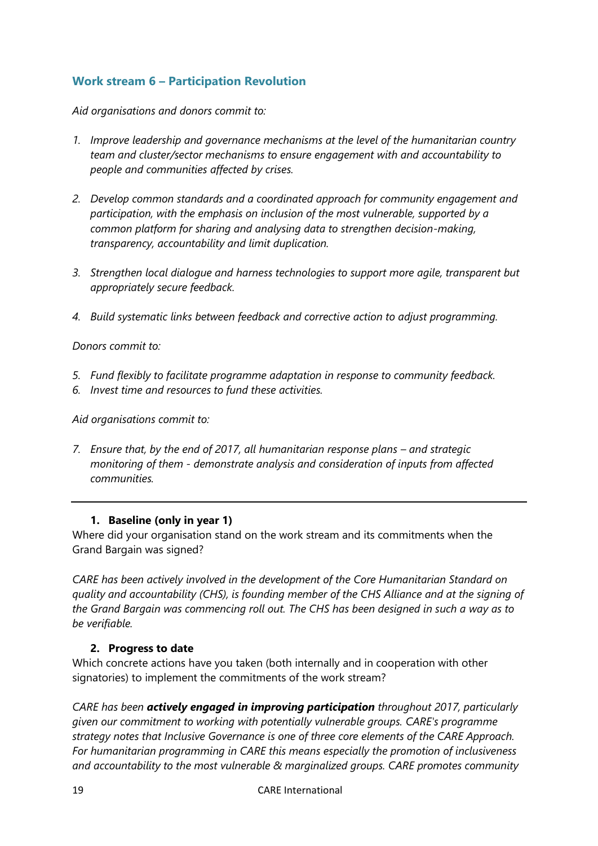# <span id="page-18-0"></span>**Work stream 6 – Participation Revolution**

*Aid organisations and donors commit to:*

- *1. Improve leadership and governance mechanisms at the level of the humanitarian country team and cluster/sector mechanisms to ensure engagement with and accountability to people and communities affected by crises.*
- *2. Develop common standards and a coordinated approach for community engagement and participation, with the emphasis on inclusion of the most vulnerable, supported by a common platform for sharing and analysing data to strengthen decision-making, transparency, accountability and limit duplication.*
- *3. Strengthen local dialogue and harness technologies to support more agile, transparent but appropriately secure feedback.*
- *4. Build systematic links between feedback and corrective action to adjust programming.*

*Donors commit to:*

- *5. Fund flexibly to facilitate programme adaptation in response to community feedback.*
- *6. Invest time and resources to fund these activities.*

*Aid organisations commit to:*

*7. Ensure that, by the end of 2017, all humanitarian response plans – and strategic monitoring of them - demonstrate analysis and consideration of inputs from affected communities.*

## **1. Baseline (only in year 1)**

<span id="page-18-1"></span>Where did your organisation stand on the work stream and its commitments when the Grand Bargain was signed?

*CARE has been actively involved in the development of the Core Humanitarian Standard on quality and accountability (CHS), is founding member of the CHS Alliance and at the signing of the Grand Bargain was commencing roll out. The CHS has been designed in such a way as to be verifiable.* 

## <span id="page-18-2"></span>**2. Progress to date**

Which concrete actions have you taken (both internally and in cooperation with other signatories) to implement the commitments of the work stream?

*CARE has been actively engaged in improving participation throughout 2017, particularly given our commitment to working with potentially vulnerable groups. CARE's programme strategy notes that Inclusive Governance is one of three core elements of the CARE Approach. For humanitarian programming in CARE this means especially the promotion of inclusiveness and accountability to the most vulnerable & marginalized groups. CARE promotes community*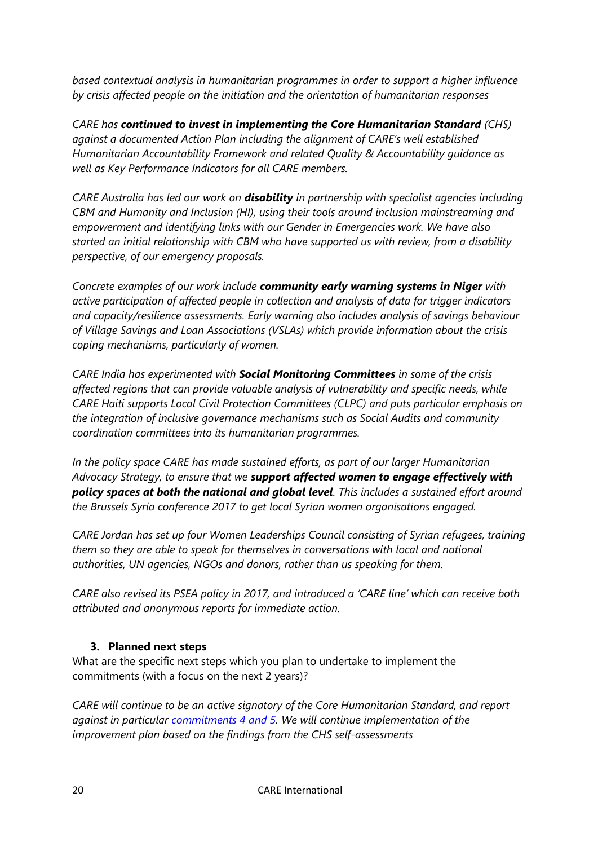*based contextual analysis in humanitarian programmes in order to support a higher influence by crisis affected people on the initiation and the orientation of humanitarian responses*

*CARE has continued to invest in implementing the Core Humanitarian Standard (CHS) against a documented Action Plan including the alignment of CARE's well established Humanitarian Accountability Framework and related Quality & Accountability guidance as well as Key Performance Indicators for all CARE members.*

*CARE Australia has led our work on disability in partnership with specialist agencies including CBM and Humanity and Inclusion (HI), using their tools around inclusion mainstreaming and empowerment and identifying links with our Gender in Emergencies work. We have also started an initial relationship with CBM who have supported us with review, from a disability perspective, of our emergency proposals.*

*Concrete examples of our work include community early warning systems in Niger with active participation of affected people in collection and analysis of data for trigger indicators and capacity/resilience assessments. Early warning also includes analysis of savings behaviour of Village Savings and Loan Associations (VSLAs) which provide information about the crisis coping mechanisms, particularly of women.*

*CARE India has experimented with Social Monitoring Committees in some of the crisis affected regions that can provide valuable analysis of vulnerability and specific needs, while CARE Haiti supports Local Civil Protection Committees (CLPC) and puts particular emphasis on the integration of inclusive governance mechanisms such as Social Audits and community coordination committees into its humanitarian programmes.* 

*In the policy space CARE has made sustained efforts, as part of our larger Humanitarian Advocacy Strategy, to ensure that we support affected women to engage effectively with policy spaces at both the national and global level. This includes a sustained effort around the Brussels Syria conference 2017 to get local Syrian women organisations engaged.*

*CARE Jordan has set up four Women Leaderships Council consisting of Syrian refugees, training them so they are able to speak for themselves in conversations with local and national authorities, UN agencies, NGOs and donors, rather than us speaking for them.*

*CARE also revised its PSEA policy in 2017, and introduced a 'CARE line' which can receive both attributed and anonymous reports for immediate action.* 

# <span id="page-19-0"></span>**3. Planned next steps**

What are the specific next steps which you plan to undertake to implement the commitments (with a focus on the next 2 years)?

*CARE will continue to be an active signatory of the Core Humanitarian Standard, and report against in particular [commitments 4 and 5.](https://corehumanitarianstandard.org/files/files/Core%20Humanitarian%20Standard%20-%20English.pdf) We will continue implementation of the improvement plan based on the findings from the CHS self-assessments*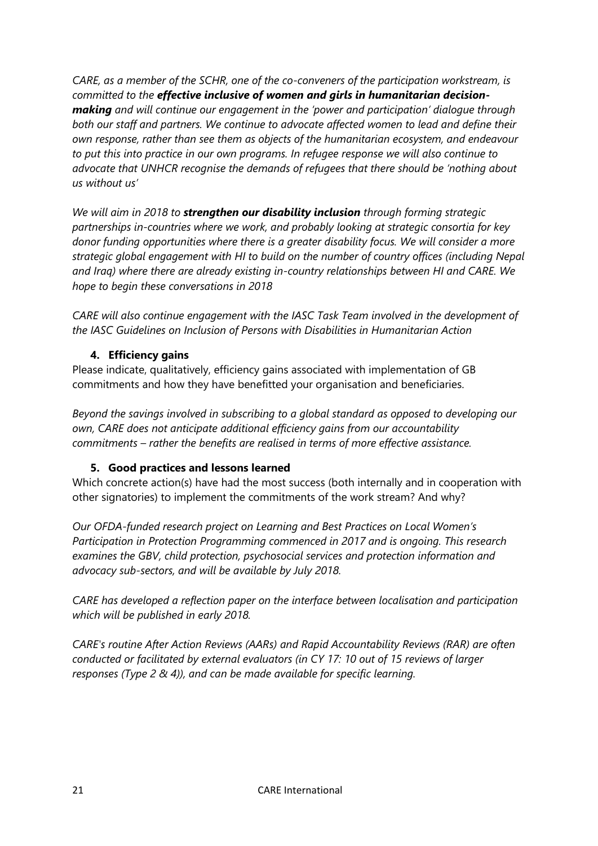*CARE, as a member of the SCHR, one of the co-conveners of the participation workstream, is committed to the effective inclusive of women and girls in humanitarian decisionmaking and will continue our engagement in the 'power and participation' dialogue through both our staff and partners. We continue to advocate affected women to lead and define their own response, rather than see them as objects of the humanitarian ecosystem, and endeavour to put this into practice in our own programs. In refugee response we will also continue to advocate that UNHCR recognise the demands of refugees that there should be 'nothing about us without us'* 

*We will aim in 2018 to strengthen our disability inclusion through forming strategic partnerships in-countries where we work, and probably looking at strategic consortia for key donor funding opportunities where there is a greater disability focus. We will consider a more strategic global engagement with HI to build on the number of country offices (including Nepal and Iraq) where there are already existing in-country relationships between HI and CARE. We hope to begin these conversations in 2018*

*CARE will also continue engagement with the IASC Task Team involved in the development of the IASC Guidelines on Inclusion of Persons with Disabilities in Humanitarian Action* 

# <span id="page-20-0"></span>**4. Efficiency gains**

Please indicate, qualitatively, efficiency gains associated with implementation of GB commitments and how they have benefitted your organisation and beneficiaries.

*Beyond the savings involved in subscribing to a global standard as opposed to developing our own, CARE does not anticipate additional efficiency gains from our accountability commitments – rather the benefits are realised in terms of more effective assistance.*

# <span id="page-20-1"></span>**5. Good practices and lessons learned**

Which concrete action(s) have had the most success (both internally and in cooperation with other signatories) to implement the commitments of the work stream? And why?

*Our OFDA-funded research project on Learning and Best Practices on Local Women's Participation in Protection Programming commenced in 2017 and is ongoing. This research examines the GBV, child protection, psychosocial services and protection information and advocacy sub-sectors, and will be available by July 2018.*

*CARE has developed a reflection paper on the interface between localisation and participation which will be published in early 2018.*

*CARE's routine After Action Reviews (AARs) and Rapid Accountability Reviews (RAR) are often conducted or facilitated by external evaluators (in CY 17: 10 out of 15 reviews of larger responses (Type 2 & 4)), and can be made available for specific learning.*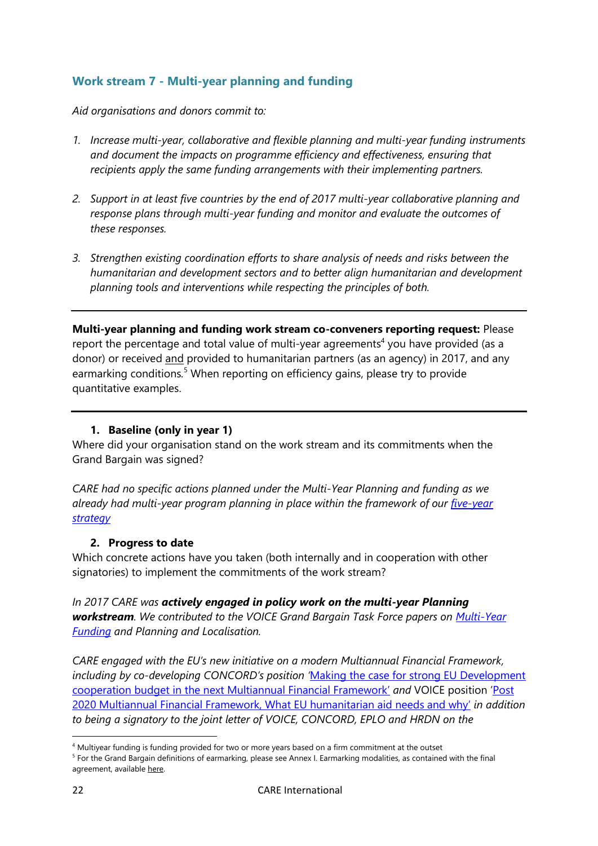# <span id="page-21-0"></span>**Work stream 7 - Multi-year planning and funding**

*Aid organisations and donors commit to:*

- *1. Increase multi-year, collaborative and flexible planning and multi-year funding instruments and document the impacts on programme efficiency and effectiveness, ensuring that recipients apply the same funding arrangements with their implementing partners.*
- *2. Support in at least five countries by the end of 2017 multi-year collaborative planning and response plans through multi-year funding and monitor and evaluate the outcomes of these responses.*
- *3. Strengthen existing coordination efforts to share analysis of needs and risks between the humanitarian and development sectors and to better align humanitarian and development planning tools and interventions while respecting the principles of both.*

**Multi-year planning and funding work stream co-conveners reporting request:** Please report the percentage and total value of multi-year agreements<sup>4</sup> you have provided (as a donor) or received and provided to humanitarian partners (as an agency) in 2017, and any earmarking conditions*.* <sup>5</sup> When reporting on efficiency gains, please try to provide quantitative examples.

## **1. Baseline (only in year 1)**

<span id="page-21-1"></span>Where did your organisation stand on the work stream and its commitments when the Grand Bargain was signed?

*CARE had no specific actions planned under the Multi-Year Planning and funding as we already had multi-year program planning in place within the framework of our [five-year](http://insights.careinternational.org.uk/publications/working-for-poverty-reduction-and-social-justice-the-care-2020-program-strategy)  [strategy](http://insights.careinternational.org.uk/publications/working-for-poverty-reduction-and-social-justice-the-care-2020-program-strategy)*

## <span id="page-21-2"></span>**2. Progress to date**

Which concrete actions have you taken (both internally and in cooperation with other signatories) to implement the commitments of the work stream?

*In 2017 CARE was actively engaged in policy work on the multi-year Planning workstream. We contributed to the VOICE Grand Bargain Task Force papers on [Multi-Year](https://www.google.ch/search?q=VOICE+multi+year+funding&rlz=1C1GCEA_enCH759FR759&oq=VOICE+multi+year+funding&aqs=chrome..69i57.3870j0j4&sourceid=chrome&ie=UTF-8)  [Funding](https://www.google.ch/search?q=VOICE+multi+year+funding&rlz=1C1GCEA_enCH759FR759&oq=VOICE+multi+year+funding&aqs=chrome..69i57.3870j0j4&sourceid=chrome&ie=UTF-8) and Planning and Localisation.* 

*CARE engaged with the EU's new initiative on a modern Multiannual Financial Framework, including by co-developing CONCORD's position '*[Making the case for strong EU Development](https://concordeurope.org/2017/12/07/multiannual-financial-framework-making-case-strong-eu-development-cooperation-budget/)  [cooperation budget in the next Multiannual Financial Framework](https://concordeurope.org/2017/12/07/multiannual-financial-framework-making-case-strong-eu-development-cooperation-budget/)' *and* VOICE position '[Post](https://ngovoice.org/news/the-number-of-people-in-need-is-increasing-so-should-be-the-eu-long-term-budget-for-humanitarian-aid)  [2020 Multiannual Financial Framework, What EU humanitarian aid needs and why](https://ngovoice.org/news/the-number-of-people-in-need-is-increasing-so-should-be-the-eu-long-term-budget-for-humanitarian-aid)' *in addition to being a signatory to the joint letter of VOICE, CONCORD, EPLO and HRDN on the* 

1

<sup>4</sup> Multiyear funding is funding provided for two or more years based on a firm commitment at the outset

<sup>&</sup>lt;sup>5</sup> For the Grand Bargain definitions of earmarking, please see Annex I. Earmarking modalities, as contained with the final agreement, available [here.](https://interagencystandingcommittee.org/grand-bargain-hosted-iasc/documents/grand-bargain-shared-commitment-better-serve-people-need)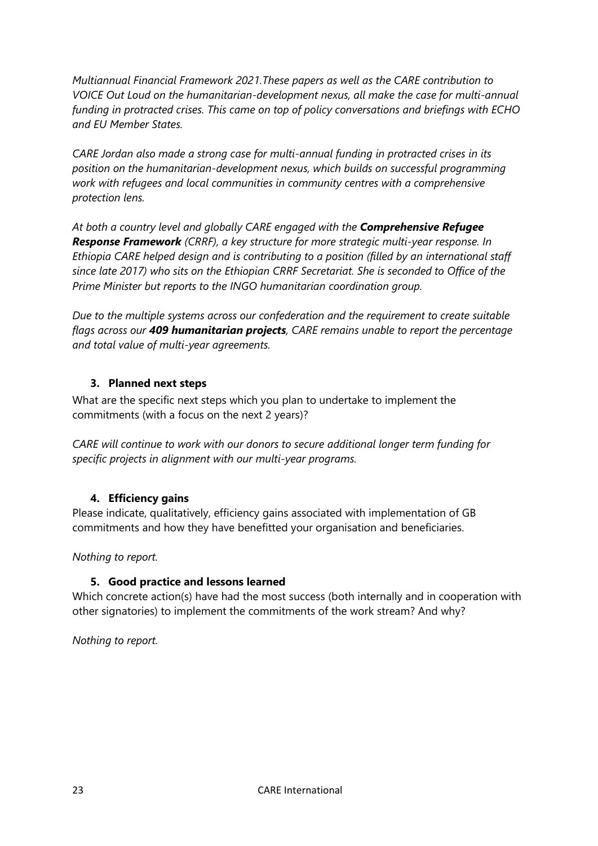*Multiannual Financial Framework 2021.These papers as well as the CARE contribution to VOICE Out Loud on the humanitarian-development nexus, all make the case for multi-annual funding in protracted crises. This came on top of policy conversations and briefings with ECHO and EU Member States.*

*CARE Jordan also made a strong case for multi-annual funding in protracted crises in its position on the humanitarian-development nexus, which builds on successful programming work with refugees and local communities in community centres with a comprehensive protection lens.*

*At both a country level and globally CARE engaged with the Comprehensive Refugee Response Framework (CRRF), a key structure for more strategic multi-year response. In Ethiopia CARE helped design and is contributing to a position (filled by an international staff since late 2017) who sits on the Ethiopian CRRF Secretariat. She is seconded to Office of the Prime Minister but reports to the INGO humanitarian coordination group.*

*Due to the multiple systems across our confederation and the requirement to create suitable flags across our 409 humanitarian projects, CARE remains unable to report the percentage and total value of multi-year agreements.* 

## <span id="page-22-0"></span>**3. Planned next steps**

What are the specific next steps which you plan to undertake to implement the commitments (with a focus on the next 2 years)?

*CARE will continue to work with our donors to secure additional longer term funding for specific projects in alignment with our multi-year programs.* 

# <span id="page-22-1"></span>**4. Efficiency gains**

Please indicate, qualitatively, efficiency gains associated with implementation of GB commitments and how they have benefitted your organisation and beneficiaries.

<span id="page-22-2"></span>*Nothing to report.*

## **5. Good practice and lessons learned**

Which concrete action(s) have had the most success (both internally and in cooperation with other signatories) to implement the commitments of the work stream? And why?

*Nothing to report.*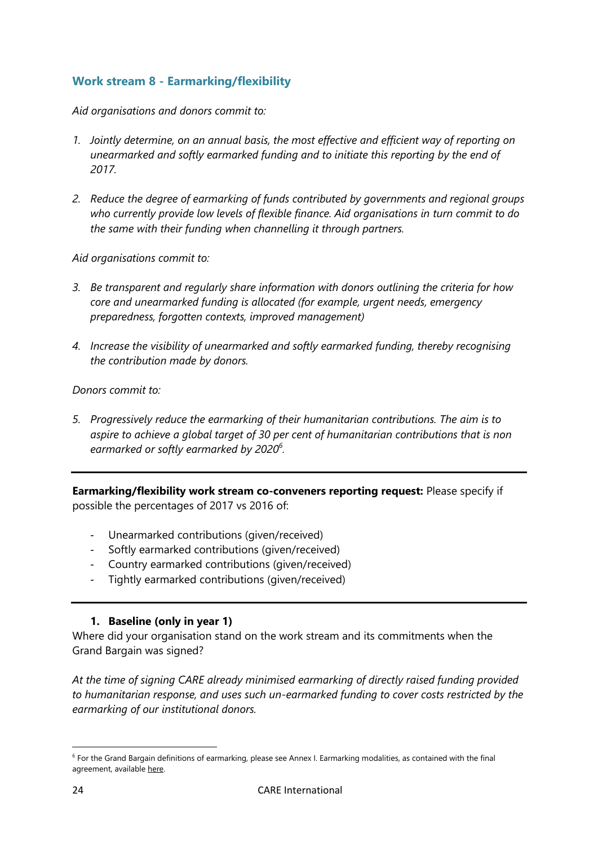# <span id="page-23-0"></span>**Work stream 8 - Earmarking/flexibility**

*Aid organisations and donors commit to:*

- *1. Jointly determine, on an annual basis, the most effective and efficient way of reporting on unearmarked and softly earmarked funding and to initiate this reporting by the end of 2017.*
- *2. Reduce the degree of earmarking of funds contributed by governments and regional groups who currently provide low levels of flexible finance. Aid organisations in turn commit to do the same with their funding when channelling it through partners.*

*Aid organisations commit to:*

- *3. Be transparent and regularly share information with donors outlining the criteria for how core and unearmarked funding is allocated (for example, urgent needs, emergency preparedness, forgotten contexts, improved management)*
- *4. Increase the visibility of unearmarked and softly earmarked funding, thereby recognising the contribution made by donors.*

*Donors commit to:*

*5. Progressively reduce the earmarking of their humanitarian contributions. The aim is to aspire to achieve a global target of 30 per cent of humanitarian contributions that is non earmarked or softly earmarked by 2020<sup>6</sup> .*

**Earmarking/flexibility work stream co-conveners reporting request:** Please specify if possible the percentages of 2017 vs 2016 of:

- Unearmarked contributions (given/received)
- Softly earmarked contributions (given/received)
- Country earmarked contributions (given/received)
- Tightly earmarked contributions (given/received)

## **1. Baseline (only in year 1)**

<span id="page-23-1"></span>Where did your organisation stand on the work stream and its commitments when the Grand Bargain was signed?

*At the time of signing CARE already minimised earmarking of directly raised funding provided to humanitarian response, and uses such un-earmarked funding to cover costs restricted by the earmarking of our institutional donors.*

**.** 

<sup>6</sup> For the Grand Bargain definitions of earmarking, please see Annex I. Earmarking modalities, as contained with the final agreement, available [here.](https://interagencystandingcommittee.org/grand-bargain-hosted-iasc/documents/grand-bargain-shared-commitment-better-serve-people-need)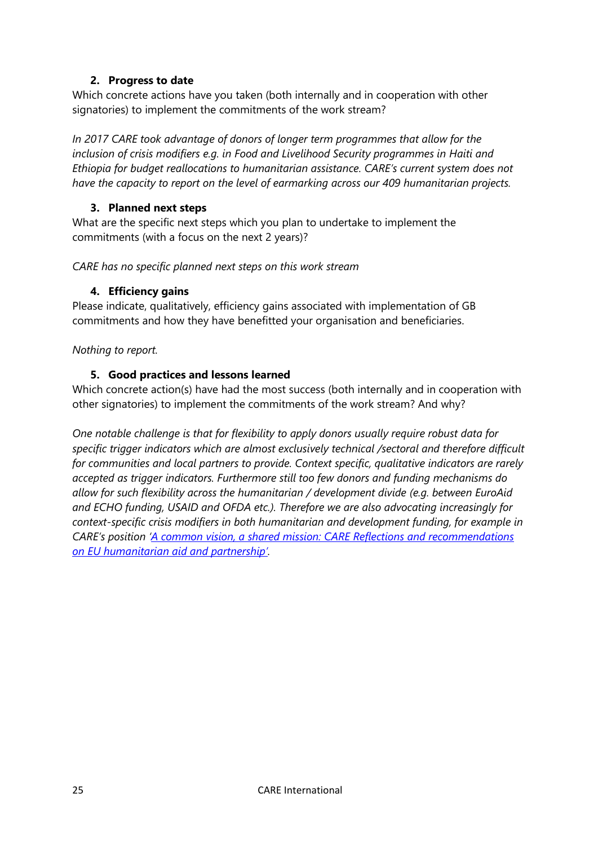## **2. Progress to date**

<span id="page-24-0"></span>Which concrete actions have you taken (both internally and in cooperation with other signatories) to implement the commitments of the work stream?

*In 2017 CARE took advantage of donors of longer term programmes that allow for the inclusion of crisis modifiers e.g. in Food and Livelihood Security programmes in Haiti and Ethiopia for budget reallocations to humanitarian assistance. CARE's current system does not have the capacity to report on the level of earmarking across our 409 humanitarian projects.*

## <span id="page-24-1"></span>**3. Planned next steps**

What are the specific next steps which you plan to undertake to implement the commitments (with a focus on the next 2 years)?

<span id="page-24-2"></span>*CARE has no specific planned next steps on this work stream*

## **4. Efficiency gains**

Please indicate, qualitatively, efficiency gains associated with implementation of GB commitments and how they have benefitted your organisation and beneficiaries.

<span id="page-24-3"></span>*Nothing to report.*

## **5. Good practices and lessons learned**

Which concrete action(s) have had the most success (both internally and in cooperation with other signatories) to implement the commitments of the work stream? And why?

*One notable challenge is that for flexibility to apply donors usually require robust data for specific trigger indicators which are almost exclusively technical /sectoral and therefore difficult for communities and local partners to provide. Context specific, qualitative indicators are rarely accepted as trigger indicators. Furthermore still too few donors and funding mechanisms do allow for such flexibility across the humanitarian / development divide (e.g. between EuroAid and ECHO funding, USAID and OFDA etc.). Therefore we are also advocating increasingly for context-specific crisis modifiers in both humanitarian and development funding, for example in CARE's position '[A common vision, a shared mission: CARE Reflections and recommendations](https://www.care-international.org/files/files/201709%20ECHO%20position%20publisher%20version%20final.pdf)  [on EU humanitarian aid and partnership'](https://www.care-international.org/files/files/201709%20ECHO%20position%20publisher%20version%20final.pdf).*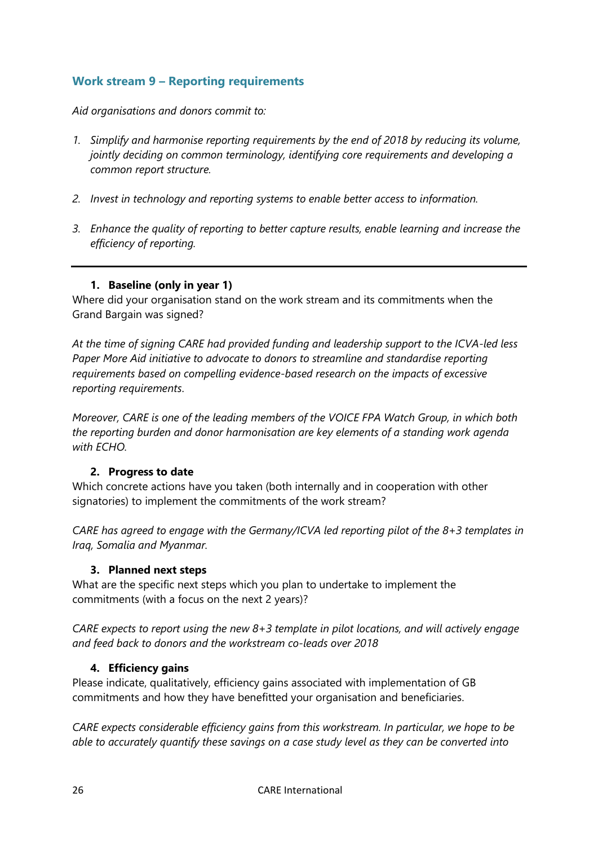# <span id="page-25-0"></span>**Work stream 9 – Reporting requirements**

*Aid organisations and donors commit to:*

- *1. Simplify and harmonise reporting requirements by the end of 2018 by reducing its volume, jointly deciding on common terminology, identifying core requirements and developing a common report structure.*
- *2. Invest in technology and reporting systems to enable better access to information.*
- *3. Enhance the quality of reporting to better capture results, enable learning and increase the efficiency of reporting.*

## **1. Baseline (only in year 1)**

<span id="page-25-1"></span>Where did your organisation stand on the work stream and its commitments when the Grand Bargain was signed?

*At the time of signing CARE had provided funding and leadership support to the ICVA-led less Paper More Aid initiative to advocate to donors to streamline and standardise reporting requirements based on compelling evidence-based research on the impacts of excessive reporting requirements*.

*Moreover, CARE is one of the leading members of the VOICE FPA Watch Group, in which both the reporting burden and donor harmonisation are key elements of a standing work agenda with ECHO.*

## <span id="page-25-2"></span>**2. Progress to date**

Which concrete actions have you taken (both internally and in cooperation with other signatories) to implement the commitments of the work stream?

*CARE has agreed to engage with the Germany/ICVA led reporting pilot of the 8+3 templates in Iraq, Somalia and Myanmar.* 

#### <span id="page-25-3"></span>**3. Planned next steps**

What are the specific next steps which you plan to undertake to implement the commitments (with a focus on the next 2 years)?

*CARE expects to report using the new 8+3 template in pilot locations, and will actively engage and feed back to donors and the workstream co-leads over 2018*

## <span id="page-25-4"></span>**4. Efficiency gains**

Please indicate, qualitatively, efficiency gains associated with implementation of GB commitments and how they have benefitted your organisation and beneficiaries.

*CARE expects considerable efficiency gains from this workstream. In particular, we hope to be able to accurately quantify these savings on a case study level as they can be converted into*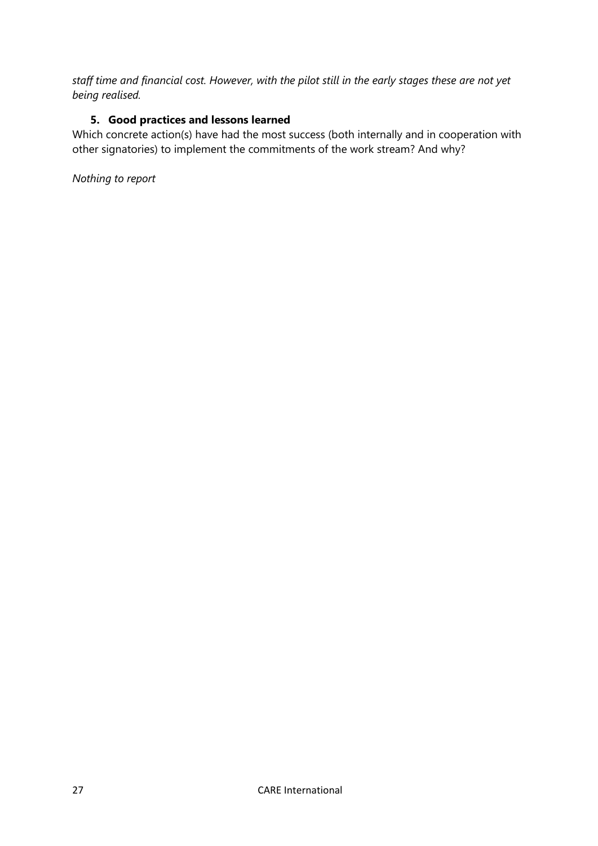*staff time and financial cost. However, with the pilot still in the early stages these are not yet being realised.* 

# <span id="page-26-0"></span>**5. Good practices and lessons learned**

Which concrete action(s) have had the most success (both internally and in cooperation with other signatories) to implement the commitments of the work stream? And why?

*Nothing to report*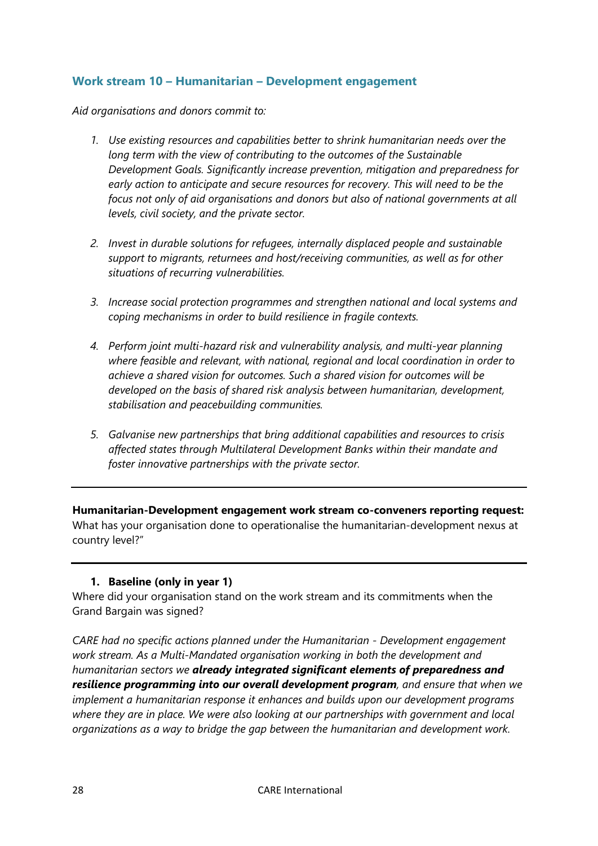## <span id="page-27-0"></span>**Work stream 10 – Humanitarian – Development engagement**

*Aid organisations and donors commit to:*

- *1. Use existing resources and capabilities better to shrink humanitarian needs over the long term with the view of contributing to the outcomes of the Sustainable Development Goals. Significantly increase prevention, mitigation and preparedness for early action to anticipate and secure resources for recovery. This will need to be the focus not only of aid organisations and donors but also of national governments at all levels, civil society, and the private sector.*
- *2. Invest in durable solutions for refugees, internally displaced people and sustainable support to migrants, returnees and host/receiving communities, as well as for other situations of recurring vulnerabilities.*
- *3. Increase social protection programmes and strengthen national and local systems and coping mechanisms in order to build resilience in fragile contexts.*
- *4. Perform joint multi-hazard risk and vulnerability analysis, and multi-year planning where feasible and relevant, with national, regional and local coordination in order to achieve a shared vision for outcomes. Such a shared vision for outcomes will be developed on the basis of shared risk analysis between humanitarian, development, stabilisation and peacebuilding communities.*
- *5. Galvanise new partnerships that bring additional capabilities and resources to crisis affected states through Multilateral Development Banks within their mandate and foster innovative partnerships with the private sector.*

**Humanitarian-Development engagement work stream co-conveners reporting request:** What has your organisation done to operationalise the humanitarian-development nexus at country level?"

## **1. Baseline (only in year 1)**

<span id="page-27-1"></span>Where did your organisation stand on the work stream and its commitments when the Grand Bargain was signed?

*CARE had no specific actions planned under the Humanitarian - Development engagement work stream. As a Multi-Mandated organisation working in both the development and humanitarian sectors we already integrated significant elements of preparedness and resilience programming into our overall development program, and ensure that when we implement a humanitarian response it enhances and builds upon our development programs where they are in place. We were also looking at our partnerships with government and local organizations as a way to bridge the gap between the humanitarian and development work.*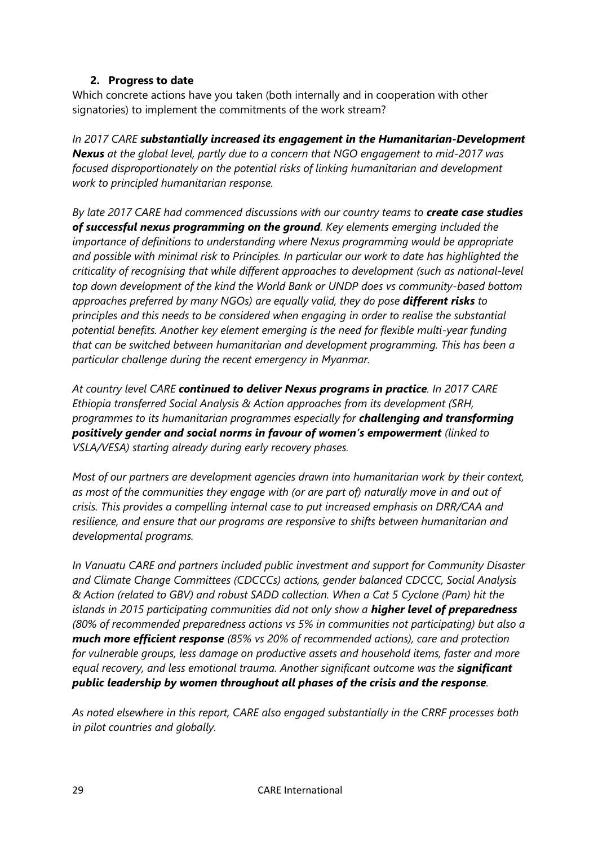## **2. Progress to date**

<span id="page-28-0"></span>Which concrete actions have you taken (both internally and in cooperation with other signatories) to implement the commitments of the work stream?

*In 2017 CARE substantially increased its engagement in the Humanitarian-Development Nexus at the global level, partly due to a concern that NGO engagement to mid-2017 was focused disproportionately on the potential risks of linking humanitarian and development work to principled humanitarian response.*

*By late 2017 CARE had commenced discussions with our country teams to create case studies of successful nexus programming on the ground. Key elements emerging included the importance of definitions to understanding where Nexus programming would be appropriate and possible with minimal risk to Principles. In particular our work to date has highlighted the criticality of recognising that while different approaches to development (such as national-level top down development of the kind the World Bank or UNDP does vs community-based bottom approaches preferred by many NGOs) are equally valid, they do pose different risks to principles and this needs to be considered when engaging in order to realise the substantial potential benefits. Another key element emerging is the need for flexible multi-year funding that can be switched between humanitarian and development programming. This has been a particular challenge during the recent emergency in Myanmar.*

*At country level CARE continued to deliver Nexus programs in practice. In 2017 CARE Ethiopia transferred Social Analysis & Action approaches from its development (SRH, programmes to its humanitarian programmes especially for challenging and transforming positively gender and social norms in favour of women's empowerment (linked to VSLA/VESA) starting already during early recovery phases.* 

*Most of our partners are development agencies drawn into humanitarian work by their context, as most of the communities they engage with (or are part of) naturally move in and out of crisis. This provides a compelling internal case to put increased emphasis on DRR/CAA and resilience, and ensure that our programs are responsive to shifts between humanitarian and developmental programs.* 

*In Vanuatu CARE and partners included public investment and support for Community Disaster and Climate Change Committees (CDCCCs) actions, gender balanced CDCCC, Social Analysis & Action (related to GBV) and robust SADD collection. When a Cat 5 Cyclone (Pam) hit the islands in 2015 participating communities did not only show a higher level of preparedness (80% of recommended preparedness actions vs 5% in communities not participating) but also a much more efficient response (85% vs 20% of recommended actions), care and protection for vulnerable groups, less damage on productive assets and household items, faster and more equal recovery, and less emotional trauma. Another significant outcome was the significant public leadership by women throughout all phases of the crisis and the response.*

*As noted elsewhere in this report, CARE also engaged substantially in the CRRF processes both in pilot countries and globally.*